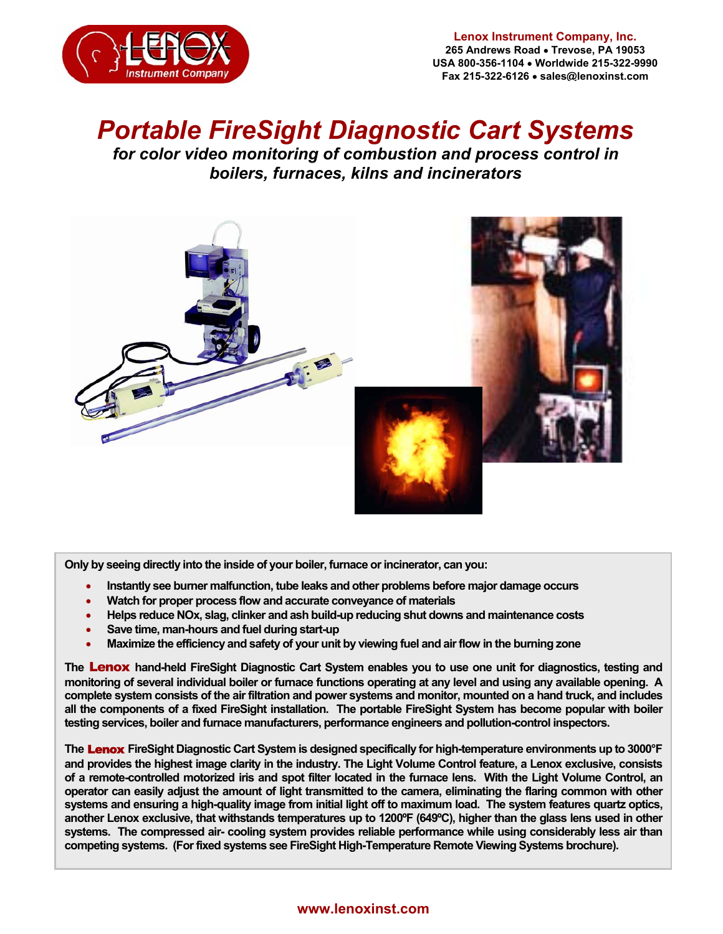

# *Portable FireSight Diagnostic Cart Systems*

*for color video monitoring of combustion and process control in boilers, furnaces, kilns and incinerators* 



**Only by seeing directly into the inside of your boiler, furnace or incinerator, can you:** 

- **Instantly see burner malfunction, tube leaks and other problems before major damage occurs**
- **Watch for proper process flow and accurate conveyance of materials**
- **Helps reduce NOx, slag, clinker and ash build-up reducing shut downs and maintenance costs**
- **Save time, man-hours and fuel during start-up**
- **Maximize the efficiency and safety of your unit by viewing fuel and air flow in the burning zone**

**The** Lenox **hand-held FireSight Diagnostic Cart System enables you to use one unit for diagnostics, testing and monitoring of several individual boiler or furnace functions operating at any level and using any available opening. A complete system consists of the air filtration and power systems and monitor, mounted on a hand truck, and includes all the components of a fixed FireSight installation. The portable FireSight System has become popular with boiler testing services, boiler and furnace manufacturers, performance engineers and pollution-control inspectors.**

**The** Lenox **FireSight Diagnostic Cart System is designed specifically for high-temperature environments up to 3000°F and provides the highest image clarity in the industry. The Light Volume Control feature, a Lenox exclusive, consists of a remote-controlled motorized iris and spot filter located in the furnace lens. With the Light Volume Control, an operator can easily adjust the amount of light transmitted to the camera, eliminating the flaring common with other systems and ensuring a high-quality image from initial light off to maximum load. The system features quartz optics, another Lenox exclusive, that withstands temperatures up to 1200ºF (649ºC), higher than the glass lens used in other systems. The compressed air- cooling system provides reliable performance while using considerably less air than competing systems. (For fixed systems see FireSight High-Temperature Remote Viewing Systems brochure).** 

#### **www.lenoxinst.com**